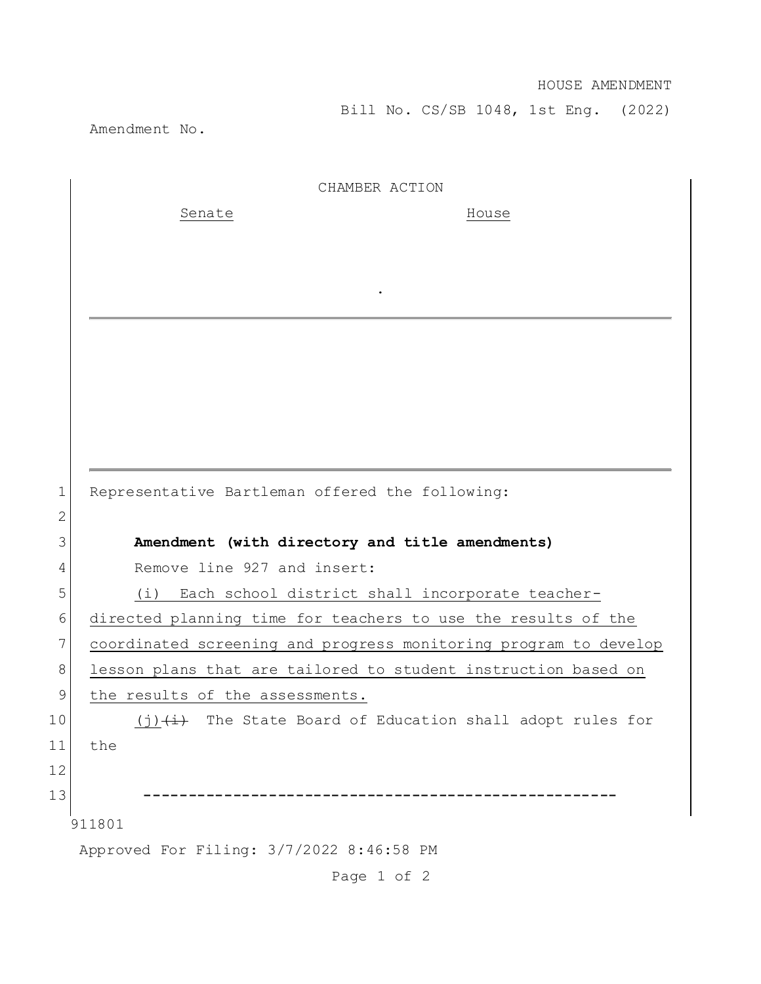Bill No. CS/SB 1048, 1st Eng. (2022)

Amendment No.

|             | CHAMBER ACTION                                                   |
|-------------|------------------------------------------------------------------|
|             | Senate<br>House                                                  |
|             |                                                                  |
|             |                                                                  |
|             |                                                                  |
|             |                                                                  |
|             |                                                                  |
|             |                                                                  |
|             |                                                                  |
|             |                                                                  |
|             |                                                                  |
| $\mathbf 1$ | Representative Bartleman offered the following:                  |
| 2           |                                                                  |
| 3           | Amendment (with directory and title amendments)                  |
| 4           | Remove line 927 and insert:                                      |
| 5           | Each school district shall incorporate teacher-<br>(i)           |
| 6           | directed planning time for teachers to use the results of the    |
| 7           | coordinated screening and progress monitoring program to develop |
| 8           | lesson plans that are tailored to student instruction based on   |
| 9           | the results of the assessments.                                  |
| 10          | (j) (i) (i) The State Board of Education shall adopt rules for   |
| 11          | the                                                              |
| 12          |                                                                  |
| 13          |                                                                  |
|             | 911801                                                           |
|             | Approved For Filing: 3/7/2022 8:46:58 PM                         |

Page 1 of 2